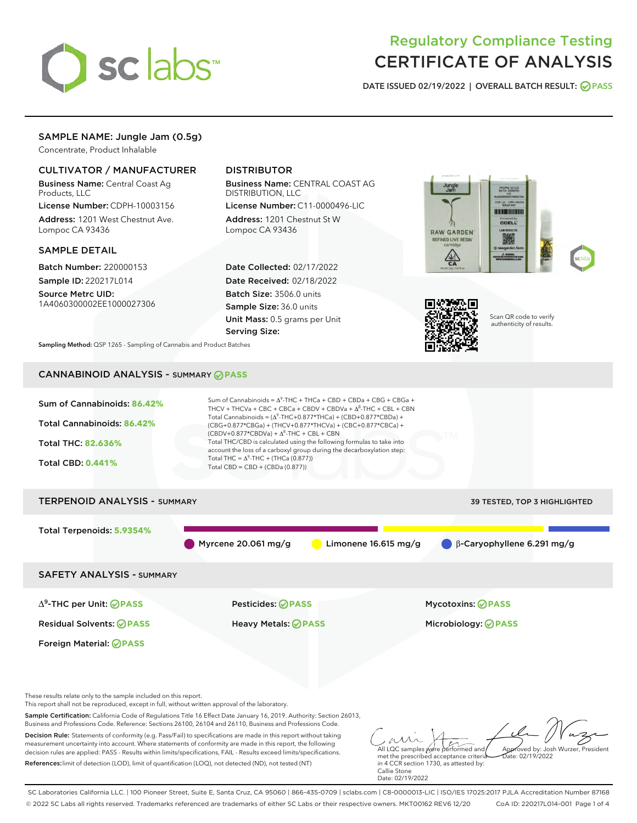

# Regulatory Compliance Testing CERTIFICATE OF ANALYSIS

DATE ISSUED 02/19/2022 | OVERALL BATCH RESULT: @ PASS

# SAMPLE NAME: Jungle Jam (0.5g)

Concentrate, Product Inhalable

# CULTIVATOR / MANUFACTURER

Business Name: Central Coast Ag Products, LLC

License Number: CDPH-10003156 Address: 1201 West Chestnut Ave. Lompoc CA 93436

### SAMPLE DETAIL

Batch Number: 220000153 Sample ID: 220217L014

Source Metrc UID: 1A4060300002EE1000027306

# DISTRIBUTOR

Business Name: CENTRAL COAST AG DISTRIBUTION, LLC

License Number: C11-0000496-LIC Address: 1201 Chestnut St W Lompoc CA 93436

Date Collected: 02/17/2022 Date Received: 02/18/2022 Batch Size: 3506.0 units Sample Size: 36.0 units Unit Mass: 0.5 grams per Unit Serving Size:





Scan QR code to verify authenticity of results.

Sampling Method: QSP 1265 - Sampling of Cannabis and Product Batches

# CANNABINOID ANALYSIS - SUMMARY **PASS**



References:limit of detection (LOD), limit of quantification (LOQ), not detected (ND), not tested (NT)

met the prescribed acceptance criteria in 4 CCR section 1730, as attested by: Callie Stone Date: 02/19/2022

SC Laboratories California LLC. | 100 Pioneer Street, Suite E, Santa Cruz, CA 95060 | 866-435-0709 | sclabs.com | C8-0000013-LIC | ISO/IES 17025:2017 PJLA Accreditation Number 87168 © 2022 SC Labs all rights reserved. Trademarks referenced are trademarks of either SC Labs or their respective owners. MKT00162 REV6 12/20 CoA ID: 220217L014-001 Page 1 of 4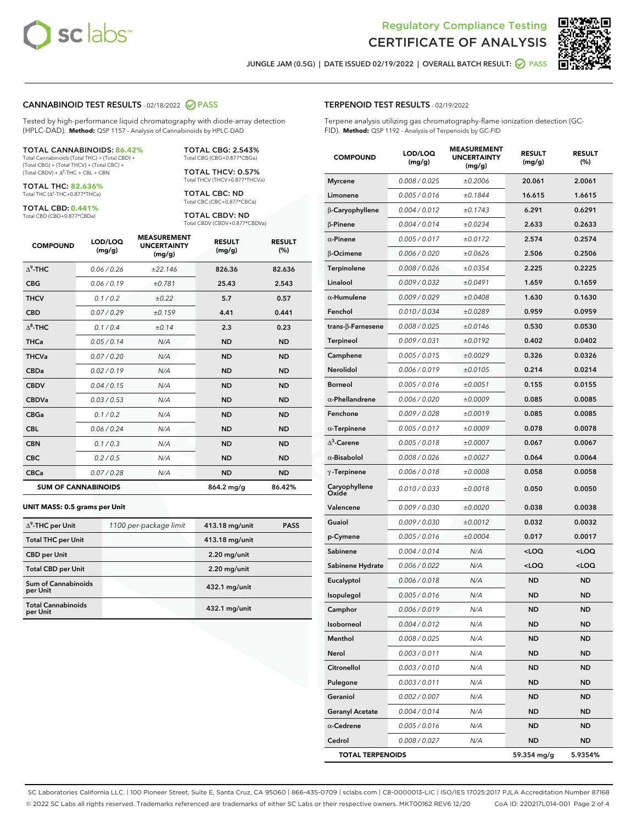



JUNGLE JAM (0.5G) | DATE ISSUED 02/19/2022 | OVERALL BATCH RESULT:  $\bigcirc$  PASS

### CANNABINOID TEST RESULTS - 02/18/2022 2 PASS

Tested by high-performance liquid chromatography with diode-array detection (HPLC-DAD). **Method:** QSP 1157 - Analysis of Cannabinoids by HPLC-DAD

#### TOTAL CANNABINOIDS: **86.42%**

Total Cannabinoids (Total THC) + (Total CBD) + (Total CBG) + (Total THCV) + (Total CBC) +  $(Total CBDV) +  $\Delta^8$ -THC + CBL + CBN$ 

TOTAL THC: **82.636%** Total THC (Δ<sup>9</sup>-THC+0.877\*THCa)

TOTAL CBD: **0.441%**

Total CBD (CBD+0.877\*CBDa)

TOTAL CBG: 2.543% Total CBG (CBG+0.877\*CBGa)

TOTAL THCV: 0.57% Total THCV (THCV+0.877\*THCVa)

TOTAL CBC: ND Total CBC (CBC+0.877\*CBCa)

TOTAL CBDV: ND Total CBDV (CBDV+0.877\*CBDVa)

| <b>COMPOUND</b>  | LOD/LOQ<br>(mg/g)          | <b>MEASUREMENT</b><br><b>UNCERTAINTY</b><br>(mg/g) | <b>RESULT</b><br>(mg/g) | <b>RESULT</b><br>(%) |
|------------------|----------------------------|----------------------------------------------------|-------------------------|----------------------|
| $\Lambda^9$ -THC | 0.06/0.26                  | ±22.146                                            | 826.36                  | 82.636               |
| <b>CBG</b>       | 0.06/0.19                  | ±0.781                                             | 25.43                   | 2.543                |
| <b>THCV</b>      | 0.1 / 0.2                  | $\pm 0.22$                                         | 5.7                     | 0.57                 |
| <b>CBD</b>       | 0.07/0.29                  | ±0.159                                             | 4.41                    | 0.441                |
| $\Delta^8$ -THC  | 0.1 / 0.4                  | ±0.14                                              | 2.3                     | 0.23                 |
| <b>THCa</b>      | 0.05/0.14                  | N/A                                                | <b>ND</b>               | <b>ND</b>            |
| <b>THCVa</b>     | 0.07/0.20                  | N/A                                                | <b>ND</b>               | <b>ND</b>            |
| <b>CBDa</b>      | 0.02/0.19                  | N/A                                                | <b>ND</b>               | <b>ND</b>            |
| <b>CBDV</b>      | 0.04 / 0.15                | N/A                                                | <b>ND</b>               | <b>ND</b>            |
| <b>CBDVa</b>     | 0.03/0.53                  | N/A                                                | <b>ND</b>               | <b>ND</b>            |
| <b>CBGa</b>      | 0.1/0.2                    | N/A                                                | <b>ND</b>               | <b>ND</b>            |
| <b>CBL</b>       | 0.06 / 0.24                | N/A                                                | <b>ND</b>               | <b>ND</b>            |
| <b>CBN</b>       | 0.1/0.3                    | N/A                                                | <b>ND</b>               | <b>ND</b>            |
| <b>CBC</b>       | 0.2 / 0.5                  | N/A                                                | <b>ND</b>               | <b>ND</b>            |
| <b>CBCa</b>      | 0.07/0.28                  | N/A                                                | <b>ND</b>               | <b>ND</b>            |
|                  | <b>SUM OF CANNABINOIDS</b> |                                                    | 864.2 mg/g              | 86.42%               |

#### **UNIT MASS: 0.5 grams per Unit**

| $\Delta^9$ -THC per Unit               | 1100 per-package limit | 413.18 mg/unit  | <b>PASS</b> |
|----------------------------------------|------------------------|-----------------|-------------|
| <b>Total THC per Unit</b>              |                        | 413.18 mg/unit  |             |
| <b>CBD</b> per Unit                    |                        | $2.20$ mg/unit  |             |
| <b>Total CBD per Unit</b>              |                        | $2.20$ mg/unit  |             |
| <b>Sum of Cannabinoids</b><br>per Unit |                        | 432.1 mg/unit   |             |
| <b>Total Cannabinoids</b><br>per Unit  |                        | $432.1$ mg/unit |             |

# TERPENOID TEST RESULTS - 02/19/2022

Terpene analysis utilizing gas chromatography-flame ionization detection (GC-FID). **Method:** QSP 1192 - Analysis of Terpenoids by GC-FID

| <b>COMPOUND</b>           | LOD/LOQ<br>(mg/g) | <b>MEASUREMENT</b><br><b>UNCERTAINTY</b><br>(mg/g) | <b>RESULT</b><br>(mg/g)                          | <b>RESULT</b><br>(%) |
|---------------------------|-------------------|----------------------------------------------------|--------------------------------------------------|----------------------|
| <b>Myrcene</b>            | 0.008 / 0.025     | ±0.2006                                            | 20.061                                           | 2.0061               |
| Limonene                  | 0.005 / 0.016     | ±0.1844                                            | 16.615                                           | 1.6615               |
| β-Caryophyllene           | 0.004 / 0.012     | ±0.1743                                            | 6.291                                            | 0.6291               |
| $\beta$ -Pinene           | 0.004 / 0.014     | ±0.0234                                            | 2.633                                            | 0.2633               |
| $\alpha$ -Pinene          | 0.005 / 0.017     | ±0.0172                                            | 2.574                                            | 0.2574               |
| β-Ocimene                 | 0.006 / 0.020     | ±0.0626                                            | 2.506                                            | 0.2506               |
| Terpinolene               | 0.008 / 0.026     | ±0.0354                                            | 2.225                                            | 0.2225               |
| Linalool                  | 0.009 / 0.032     | ±0.0491                                            | 1.659                                            | 0.1659               |
| $\alpha$ -Humulene        | 0.009/0.029       | ±0.0408                                            | 1.630                                            | 0.1630               |
| Fenchol                   | 0.010 / 0.034     | ±0.0289                                            | 0.959                                            | 0.0959               |
| trans- $\beta$ -Farnesene | 0.008 / 0.025     | ±0.0146                                            | 0.530                                            | 0.0530               |
| Terpineol                 | 0.009 / 0.031     | ±0.0192                                            | 0.402                                            | 0.0402               |
| Camphene                  | 0.005 / 0.015     | ±0.0029                                            | 0.326                                            | 0.0326               |
| Nerolidol                 | 0.006 / 0.019     | ±0.0105                                            | 0.214                                            | 0.0214               |
| <b>Borneol</b>            | 0.005 / 0.016     | ±0.0051                                            | 0.155                                            | 0.0155               |
| $\alpha$ -Phellandrene    | 0.006 / 0.020     | ±0.0009                                            | 0.085                                            | 0.0085               |
| Fenchone                  | 0.009 / 0.028     | ±0.0019                                            | 0.085                                            | 0.0085               |
| $\alpha$ -Terpinene       | 0.005 / 0.017     | ±0.0009                                            | 0.078                                            | 0.0078               |
| $\Delta^3$ -Carene        | 0.005 / 0.018     | ±0.0007                                            | 0.067                                            | 0.0067               |
| $\alpha$ -Bisabolol       | 0.008 / 0.026     | ±0.0027                                            | 0.064                                            | 0.0064               |
| $\gamma$ -Terpinene       | 0.006 / 0.018     | ±0.0008                                            | 0.058                                            | 0.0058               |
| Caryophyllene<br>Oxide    | 0.010 / 0.033     | ±0.0018                                            | 0.050                                            | 0.0050               |
| Valencene                 | 0.009 / 0.030     | ±0.0020                                            | 0.038                                            | 0.0038               |
| Guaiol                    | 0.009 / 0.030     | ±0.0012                                            | 0.032                                            | 0.0032               |
| p-Cymene                  | 0.005 / 0.016     | ±0.0004                                            | 0.017                                            | 0.0017               |
| Sabinene                  | 0.004 / 0.014     | N/A                                                | <loq< th=""><th><loq< th=""></loq<></th></loq<>  | <loq< th=""></loq<>  |
| Sabinene Hydrate          | 0.006 / 0.022     | N/A                                                | <loq< th=""><th><math>&lt;</math>LOQ</th></loq<> | $<$ LOQ              |
| Eucalyptol                | 0.006 / 0.018     | N/A                                                | ND                                               | <b>ND</b>            |
| Isopulegol                | 0.005 / 0.016     | N/A                                                | <b>ND</b>                                        | ND                   |
| Camphor                   | 0.006 / 0.019     | N/A                                                | <b>ND</b>                                        | <b>ND</b>            |
| Isoborneol                | 0.004 / 0.012     | N/A                                                | ND                                               | ND                   |
| Menthol                   | 0.008 / 0.025     | N/A                                                | <b>ND</b>                                        | <b>ND</b>            |
| Nerol                     | 0.003 / 0.011     | N/A                                                | <b>ND</b>                                        | <b>ND</b>            |
| Citronellol               | 0.003 / 0.010     | N/A                                                | ND                                               | ND                   |
| Pulegone                  | 0.003 / 0.011     | N/A                                                | ND                                               | ND                   |
| Geraniol                  | 0.002 / 0.007     | N/A                                                | <b>ND</b>                                        | <b>ND</b>            |
| <b>Geranyl Acetate</b>    | 0.004 / 0.014     | N/A                                                | ND                                               | ND                   |
| $\alpha$ -Cedrene         | 0.005 / 0.016     | N/A                                                | <b>ND</b>                                        | ND                   |
| Cedrol                    | 0.008 / 0.027     | N/A                                                | <b>ND</b>                                        | ND                   |
| <b>TOTAL TERPENOIDS</b>   |                   |                                                    | 59.354 mg/g                                      | 5.9354%              |

SC Laboratories California LLC. | 100 Pioneer Street, Suite E, Santa Cruz, CA 95060 | 866-435-0709 | sclabs.com | C8-0000013-LIC | ISO/IES 17025:2017 PJLA Accreditation Number 87168 © 2022 SC Labs all rights reserved. Trademarks referenced are trademarks of either SC Labs or their respective owners. MKT00162 REV6 12/20 CoA ID: 220217L014-001 Page 2 of 4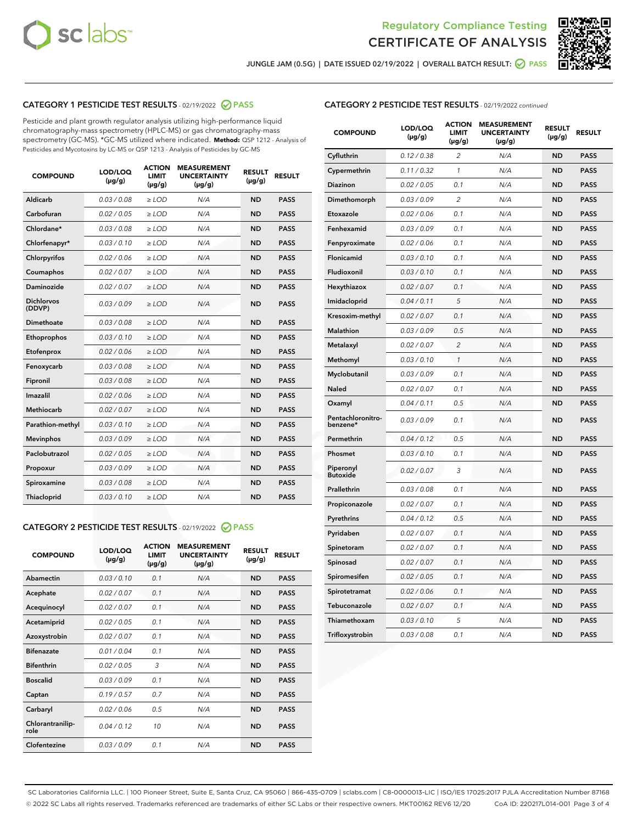



JUNGLE JAM (0.5G) | DATE ISSUED 02/19/2022 | OVERALL BATCH RESULT:  $\bigcirc$  PASS

# CATEGORY 1 PESTICIDE TEST RESULTS - 02/19/2022 2 PASS

Pesticide and plant growth regulator analysis utilizing high-performance liquid chromatography-mass spectrometry (HPLC-MS) or gas chromatography-mass spectrometry (GC-MS). \*GC-MS utilized where indicated. **Method:** QSP 1212 - Analysis of Pesticides and Mycotoxins by LC-MS or QSP 1213 - Analysis of Pesticides by GC-MS

| <b>COMPOUND</b>             | LOD/LOQ<br>$(\mu g/g)$ | <b>ACTION</b><br>LIMIT<br>$(\mu g/g)$ | <b>MEASUREMENT</b><br><b>UNCERTAINTY</b><br>$(\mu g/g)$ | <b>RESULT</b><br>$(\mu g/g)$ | <b>RESULT</b> |
|-----------------------------|------------------------|---------------------------------------|---------------------------------------------------------|------------------------------|---------------|
| Aldicarb                    | 0.03 / 0.08            | $\ge$ LOD                             | N/A                                                     | <b>ND</b>                    | <b>PASS</b>   |
| Carbofuran                  | 0.02 / 0.05            | $\ge$ LOD                             | N/A                                                     | <b>ND</b>                    | <b>PASS</b>   |
| Chlordane*                  | 0.03/0.08              | $>$ LOD                               | N/A                                                     | <b>ND</b>                    | <b>PASS</b>   |
| Chlorfenapyr*               | 0.03/0.10              | $>$ LOD                               | N/A                                                     | <b>ND</b>                    | <b>PASS</b>   |
| Chlorpyrifos                | 0.02 / 0.06            | $\ge$ LOD                             | N/A                                                     | <b>ND</b>                    | <b>PASS</b>   |
| Coumaphos                   | 0.02 / 0.07            | $\ge$ LOD                             | N/A                                                     | <b>ND</b>                    | <b>PASS</b>   |
| Daminozide                  | 0.02 / 0.07            | $\ge$ LOD                             | N/A                                                     | <b>ND</b>                    | <b>PASS</b>   |
| <b>Dichlorvos</b><br>(DDVP) | 0.03/0.09              | $>$ LOD                               | N/A                                                     | <b>ND</b>                    | <b>PASS</b>   |
| Dimethoate                  | 0.03/0.08              | $\ge$ LOD                             | N/A                                                     | <b>ND</b>                    | <b>PASS</b>   |
| Ethoprophos                 | 0.03/0.10              | $\ge$ LOD                             | N/A                                                     | <b>ND</b>                    | <b>PASS</b>   |
| Etofenprox                  | 0.02 / 0.06            | $\ge$ LOD                             | N/A                                                     | <b>ND</b>                    | <b>PASS</b>   |
| Fenoxycarb                  | 0.03/0.08              | $\ge$ LOD                             | N/A                                                     | <b>ND</b>                    | <b>PASS</b>   |
| Fipronil                    | 0.03/0.08              | $\ge$ LOD                             | N/A                                                     | <b>ND</b>                    | <b>PASS</b>   |
| Imazalil                    | 0.02/0.06              | $>$ LOD                               | N/A                                                     | <b>ND</b>                    | <b>PASS</b>   |
| <b>Methiocarb</b>           | 0.02 / 0.07            | $\ge$ LOD                             | N/A                                                     | <b>ND</b>                    | <b>PASS</b>   |
| Parathion-methyl            | 0.03/0.10              | $\ge$ LOD                             | N/A                                                     | <b>ND</b>                    | <b>PASS</b>   |
| <b>Mevinphos</b>            | 0.03/0.09              | $>$ LOD                               | N/A                                                     | <b>ND</b>                    | <b>PASS</b>   |
| Paclobutrazol               | 0.02 / 0.05            | $>$ LOD                               | N/A                                                     | <b>ND</b>                    | <b>PASS</b>   |
| Propoxur                    | 0.03/0.09              | $\ge$ LOD                             | N/A                                                     | <b>ND</b>                    | <b>PASS</b>   |
| Spiroxamine                 | 0.03 / 0.08            | $\ge$ LOD                             | N/A                                                     | <b>ND</b>                    | <b>PASS</b>   |
| Thiacloprid                 | 0.03/0.10              | $>$ LOD                               | N/A                                                     | <b>ND</b>                    | <b>PASS</b>   |
|                             |                        |                                       |                                                         |                              |               |

### CATEGORY 2 PESTICIDE TEST RESULTS - 02/19/2022 @ PASS

| <b>COMPOUND</b>          | LOD/LOO<br>$(\mu g/g)$ | <b>ACTION</b><br><b>LIMIT</b><br>(µg/g) | <b>MEASUREMENT</b><br><b>UNCERTAINTY</b><br>$(\mu g/g)$ | <b>RESULT</b><br>$(\mu g/g)$ | <b>RESULT</b> |  |
|--------------------------|------------------------|-----------------------------------------|---------------------------------------------------------|------------------------------|---------------|--|
| Abamectin                | 0.03/0.10              | 0.1                                     | N/A                                                     | <b>ND</b>                    | <b>PASS</b>   |  |
| Acephate                 | 0.02/0.07              | 0.1                                     | N/A                                                     | <b>ND</b>                    | <b>PASS</b>   |  |
| Acequinocyl              | 0.02/0.07              | 0.1                                     | N/A                                                     | <b>ND</b>                    | <b>PASS</b>   |  |
| Acetamiprid              | 0.02/0.05              | 0.1                                     | N/A                                                     | <b>ND</b>                    | <b>PASS</b>   |  |
| Azoxystrobin             | 0.02/0.07              | 0.1                                     | N/A                                                     | <b>ND</b>                    | <b>PASS</b>   |  |
| <b>Bifenazate</b>        | 0.01/0.04              | 0.1                                     | N/A                                                     | <b>ND</b>                    | <b>PASS</b>   |  |
| <b>Bifenthrin</b>        | 0.02/0.05              | 3                                       | N/A                                                     | <b>ND</b>                    | <b>PASS</b>   |  |
| <b>Boscalid</b>          | 0.03/0.09              | 0.1                                     | N/A                                                     | <b>ND</b>                    | <b>PASS</b>   |  |
| Captan                   | 0.19/0.57              | 0.7                                     | N/A                                                     | <b>ND</b>                    | <b>PASS</b>   |  |
| Carbaryl                 | 0.02/0.06              | 0.5                                     | N/A                                                     | <b>ND</b>                    | <b>PASS</b>   |  |
| Chlorantranilip-<br>role | 0.04/0.12              | 10                                      | N/A                                                     | <b>ND</b>                    | <b>PASS</b>   |  |
| Clofentezine             | 0.03/0.09              | 0.1                                     | N/A                                                     | <b>ND</b>                    | <b>PASS</b>   |  |

| <b>COMPOUND</b>               | LOD/LOQ<br>$(\mu g/g)$ | <b>ACTION</b><br><b>LIMIT</b><br>(µg/g) | <b>MEASUREMENT</b><br><b>UNCERTAINTY</b><br>$(\mu g/g)$ | <b>RESULT</b><br>$(\mu g/g)$ | <b>RESULT</b> |
|-------------------------------|------------------------|-----------------------------------------|---------------------------------------------------------|------------------------------|---------------|
| Cyfluthrin                    | 0.12 / 0.38            | $\overline{c}$                          | N/A                                                     | ND                           | PASS          |
| Cypermethrin                  | 0.11 / 0.32            | 1                                       | N/A                                                     | <b>ND</b>                    | <b>PASS</b>   |
| Diazinon                      | 0.02 / 0.05            | 0.1                                     | N/A                                                     | <b>ND</b>                    | <b>PASS</b>   |
| Dimethomorph                  | 0.03 / 0.09            | 2                                       | N/A                                                     | <b>ND</b>                    | <b>PASS</b>   |
| Etoxazole                     | 0.02 / 0.06            | 0.1                                     | N/A                                                     | <b>ND</b>                    | <b>PASS</b>   |
| Fenhexamid                    | 0.03 / 0.09            | 0.1                                     | N/A                                                     | <b>ND</b>                    | <b>PASS</b>   |
| Fenpyroximate                 | 0.02 / 0.06            | 0.1                                     | N/A                                                     | <b>ND</b>                    | <b>PASS</b>   |
| Flonicamid                    | 0.03 / 0.10            | 0.1                                     | N/A                                                     | <b>ND</b>                    | <b>PASS</b>   |
| Fludioxonil                   | 0.03 / 0.10            | 0.1                                     | N/A                                                     | <b>ND</b>                    | <b>PASS</b>   |
| Hexythiazox                   | 0.02 / 0.07            | 0.1                                     | N/A                                                     | <b>ND</b>                    | <b>PASS</b>   |
| Imidacloprid                  | 0.04 / 0.11            | 5                                       | N/A                                                     | <b>ND</b>                    | <b>PASS</b>   |
| Kresoxim-methyl               | 0.02 / 0.07            | 0.1                                     | N/A                                                     | <b>ND</b>                    | <b>PASS</b>   |
| <b>Malathion</b>              | 0.03 / 0.09            | 0.5                                     | N/A                                                     | <b>ND</b>                    | <b>PASS</b>   |
| Metalaxyl                     | 0.02 / 0.07            | $\overline{c}$                          | N/A                                                     | <b>ND</b>                    | <b>PASS</b>   |
| Methomyl                      | 0.03 / 0.10            | $\mathcal{I}$                           | N/A                                                     | <b>ND</b>                    | <b>PASS</b>   |
| Myclobutanil                  | 0.03 / 0.09            | 0.1                                     | N/A                                                     | <b>ND</b>                    | <b>PASS</b>   |
| Naled                         | 0.02 / 0.07            | 0.1                                     | N/A                                                     | <b>ND</b>                    | <b>PASS</b>   |
| Oxamyl                        | 0.04 / 0.11            | 0.5                                     | N/A                                                     | <b>ND</b>                    | <b>PASS</b>   |
| Pentachloronitro-<br>benzene* | 0.03 / 0.09            | 0.1                                     | N/A                                                     | <b>ND</b>                    | <b>PASS</b>   |
| Permethrin                    | 0.04 / 0.12            | 0.5                                     | N/A                                                     | <b>ND</b>                    | <b>PASS</b>   |
| Phosmet                       | 0.03 / 0.10            | 0.1                                     | N/A                                                     | <b>ND</b>                    | <b>PASS</b>   |
| Piperonyl<br><b>Butoxide</b>  | 0.02 / 0.07            | 3                                       | N/A                                                     | <b>ND</b>                    | <b>PASS</b>   |
| Prallethrin                   | 0.03 / 0.08            | 0.1                                     | N/A                                                     | <b>ND</b>                    | <b>PASS</b>   |
| Propiconazole                 | 0.02 / 0.07            | 0.1                                     | N/A                                                     | <b>ND</b>                    | <b>PASS</b>   |
| Pyrethrins                    | 0.04 / 0.12            | 0.5                                     | N/A                                                     | <b>ND</b>                    | <b>PASS</b>   |
| Pyridaben                     | 0.02 / 0.07            | 0.1                                     | N/A                                                     | <b>ND</b>                    | <b>PASS</b>   |
| Spinetoram                    | 0.02 / 0.07            | 0.1                                     | N/A                                                     | <b>ND</b>                    | <b>PASS</b>   |
| Spinosad                      | 0.02 / 0.07            | 0.1                                     | N/A                                                     | <b>ND</b>                    | <b>PASS</b>   |
| Spiromesifen                  | 0.02 / 0.05            | 0.1                                     | N/A                                                     | <b>ND</b>                    | <b>PASS</b>   |
| Spirotetramat                 | 0.02 / 0.06            | 0.1                                     | N/A                                                     | <b>ND</b>                    | <b>PASS</b>   |
| Tebuconazole                  | 0.02 / 0.07            | 0.1                                     | N/A                                                     | ND                           | <b>PASS</b>   |
| Thiamethoxam                  | 0.03 / 0.10            | 5                                       | N/A                                                     | <b>ND</b>                    | <b>PASS</b>   |
| Trifloxystrobin               | 0.03 / 0.08            | 0.1                                     | N/A                                                     | <b>ND</b>                    | <b>PASS</b>   |

SC Laboratories California LLC. | 100 Pioneer Street, Suite E, Santa Cruz, CA 95060 | 866-435-0709 | sclabs.com | C8-0000013-LIC | ISO/IES 17025:2017 PJLA Accreditation Number 87168 © 2022 SC Labs all rights reserved. Trademarks referenced are trademarks of either SC Labs or their respective owners. MKT00162 REV6 12/20 CoA ID: 220217L014-001 Page 3 of 4